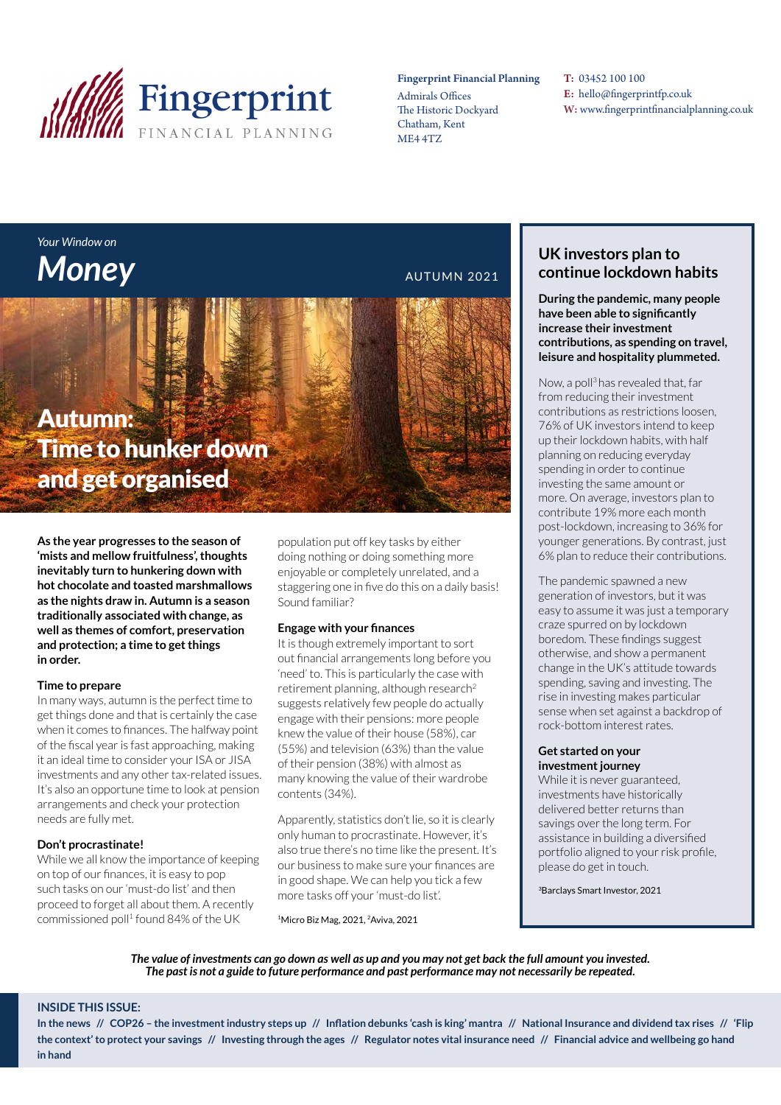

#### Fingerprint Financial Planning

Admirals Offices The Historic Dockyard Chatham, Kent ME4 4TZ

T: 03452 100 100 E: hello@fingerprintfp.co.uk W: www.fingerprintfinancialplanning.co.uk

## *Your Window on*  **Money AUTUMN 2021**

## Autumn: Time to hunker down and get organised

**As the year progresses to the season of 'mists and mellow fruitfulness', thoughts inevitably turn to hunkering down with hot chocolate and toasted marshmallows as the nights draw in. Autumn is a season traditionally associated with change, as well as themes of comfort, preservation and protection; a time to get things in order.**

#### **Time to prepare**

In many ways, autumn is the perfect time to get things done and that is certainly the case when it comes to finances. The halfway point of the fiscal year is fast approaching, making it an ideal time to consider your ISA or JISA investments and any other tax-related issues. It's also an opportune time to look at pension arrangements and check your protection needs are fully met.

#### **Don't procrastinate!**

While we all know the importance of keeping on top of our finances, it is easy to pop such tasks on our 'must-do list' and then proceed to forget all about them. A recently commissioned poll<sup>1</sup> found 84% of the UK

population put off key tasks by either doing nothing or doing something more enjoyable or completely unrelated, and a staggering one in five do this on a daily basis! Sound familiar?

#### **Engage with your finances**

It is though extremely important to sort out financial arrangements long before you 'need' to. This is particularly the case with retirement planning, although research<sup>2</sup> suggests relatively few people do actually engage with their pensions: more people knew the value of their house (58%), car (55%) and television (63%) than the value of their pension (38%) with almost as many knowing the value of their wardrobe contents (34%).

Apparently, statistics don't lie, so it is clearly only human to procrastinate. However, it's also true there's no time like the present. It's our business to make sure your finances are in good shape. We can help you tick a few more tasks off your 'must-do list'.

1Micro Biz Mag, 2021, 2Aviva, 2021

#### **UK investors plan to continue lockdown habits**

**During the pandemic, many people have been able to significantly increase their investment contributions, as spending on travel, leisure and hospitality plummeted.** 

Now, a poll3 has revealed that, far from reducing their investment contributions as restrictions loosen, 76% of UK investors intend to keep up their lockdown habits, with half planning on reducing everyday spending in order to continue investing the same amount or more. On average, investors plan to contribute 19% more each month post-lockdown, increasing to 36% for younger generations. By contrast, just 6% plan to reduce their contributions.

The pandemic spawned a new generation of investors, but it was easy to assume it was just a temporary craze spurred on by lockdown boredom. These findings suggest otherwise, and show a permanent change in the UK's attitude towards spending, saving and investing. The rise in investing makes particular sense when set against a backdrop of rock-bottom interest rates.

#### **Get started on your investment journey**

While it is never guaranteed, investments have historically delivered better returns than savings over the long term. For assistance in building a diversified portfolio aligned to your risk profile, please do get in touch.

3Barclays Smart Investor, 2021

*The value of investments can go down as well as up and you may not get back the full amount you invested. The past is not a guide to future performance and past performance may not necessarily be repeated.*

#### **INSIDE THIS ISSUE:**

**In the news // COP26 – the investment industry steps up // Inflation debunks 'cash is king' mantra // National Insurance and dividend tax rises // 'Flip the context' to protect your savings // Investing through the ages // Regulator notes vital insurance need // Financial advice and wellbeing go hand in hand**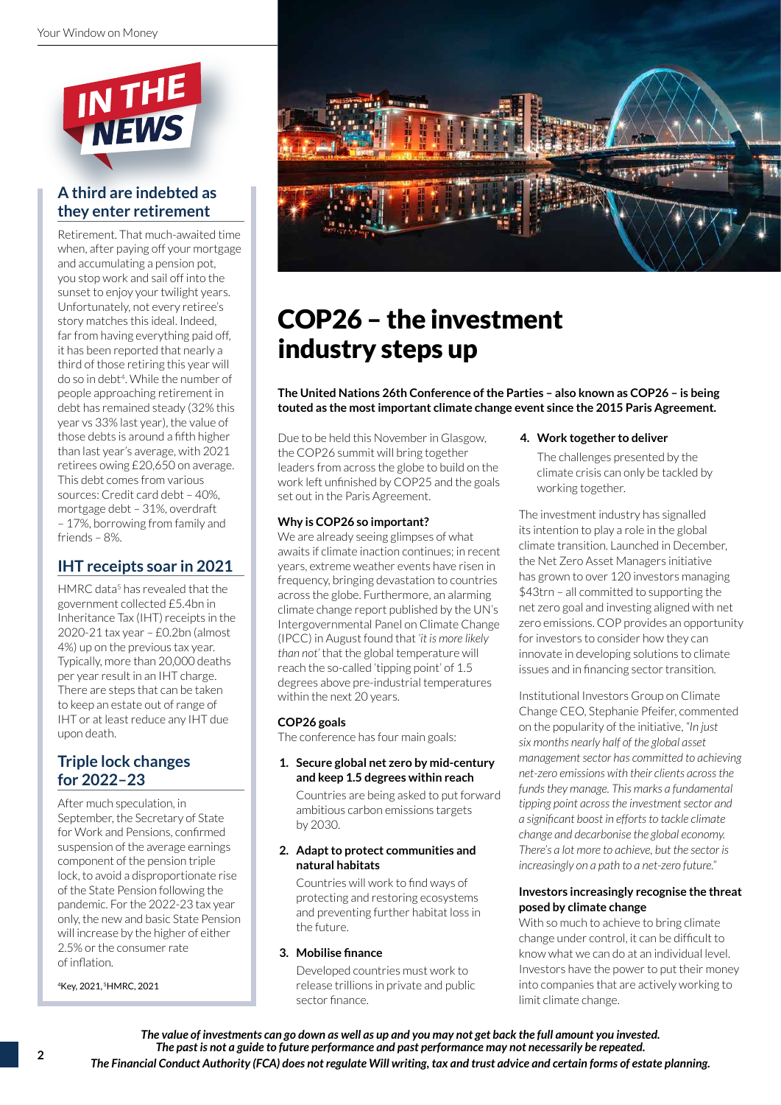

### **A third are indebted as they enter retirement**

Retirement. That much-awaited time when, after paying off your mortgage and accumulating a pension pot, you stop work and sail off into the sunset to enjoy your twilight years. Unfortunately, not every retiree's story matches this ideal. Indeed, far from having everything paid off, it has been reported that nearly a third of those retiring this year will do so in debt<sup>4</sup>. While the number of people approaching retirement in debt has remained steady (32% this year vs 33% last year), the value of those debts is around a fifth higher than last year's average, with 2021 retirees owing £20,650 on average. This debt comes from various sources: Credit card debt – 40%, mortgage debt – 31%, overdraft – 17%, borrowing from family and friends – 8%.

#### **IHT receipts soar in 2021**

HMRC data<sup>5</sup> has revealed that the government collected £5.4bn in Inheritance Tax (IHT) receipts in the 2020-21 tax year – £0.2bn (almost 4%) up on the previous tax year. Typically, more than 20,000 deaths per year result in an IHT charge. There are steps that can be taken to keep an estate out of range of IHT or at least reduce any IHT due upon death.

#### **Triple lock changes for 2022–23**

After much speculation, in September, the Secretary of State for Work and Pensions, confirmed suspension of the average earnings component of the pension triple lock, to avoid a disproportionate rise of the State Pension following the pandemic. For the 2022-23 tax year only, the new and basic State Pension will increase by the higher of either 2.5% or the consumer rate of inflation.

4Key, 2021, 5HMRC, 2021



## COP26 – the investment industry steps up

**The United Nations 26th Conference of the Parties – also known as COP26 – is being touted as the most important climate change event since the 2015 Paris Agreement.** 

Due to be held this November in Glasgow, the COP26 summit will bring together leaders from across the globe to build on the work left unfinished by COP25 and the goals set out in the Paris Agreement.

#### **Why is COP26 so important?**

We are already seeing glimpses of what awaits if climate inaction continues; in recent years, extreme weather events have risen in frequency, bringing devastation to countries across the globe. Furthermore, an alarming climate change report published by the UN's Intergovernmental Panel on Climate Change (IPCC) in August found that *'it is more likely than not'* that the global temperature will reach the so-called 'tipping point' of 1.5 degrees above pre-industrial temperatures within the next 20 years.

#### **COP26 goals**

The conference has four main goals:

#### **1. Secure global net zero by mid-century and keep 1.5 degrees within reach**

Countries are being asked to put forward ambitious carbon emissions targets by 2030.

#### **2. Adapt to protect communities and natural habitats**

Countries will work to find ways of protecting and restoring ecosystems and preventing further habitat loss in the future.

#### **3. Mobilise finance**

Developed countries must work to release trillions in private and public sector finance.

#### **4. Work together to deliver**

The challenges presented by the climate crisis can only be tackled by working together.

The investment industry has signalled its intention to play a role in the global climate transition. Launched in December, the Net Zero Asset Managers initiative has grown to over 120 investors managing \$43trn – all committed to supporting the net zero goal and investing aligned with net zero emissions. COP provides an opportunity for investors to consider how they can innovate in developing solutions to climate issues and in financing sector transition.

Institutional Investors Group on Climate Change CEO, Stephanie Pfeifer, commented on the popularity of the initiative, *"In just six months nearly half of the global asset management sector has committed to achieving net-zero emissions with their clients across the funds they manage. This marks a fundamental tipping point across the investment sector and a significant boost in efforts to tackle climate change and decarbonise the global economy. There's a lot more to achieve, but the sector is increasingly on a path to a net-zero future."*

#### **Investors increasingly recognise the threat posed by climate change**

With so much to achieve to bring climate change under control, it can be difficult to know what we can do at an individual level. Investors have the power to put their money into companies that are actively working to limit climate change.

*The value of investments can go down as well as up and you may not get back the full amount you invested. The past is not a guide to future performance and past performance may not necessarily be repeated. The Financial Conduct Authority (FCA) does not regulate Will writing, tax and trust advice and certain forms of estate planning.*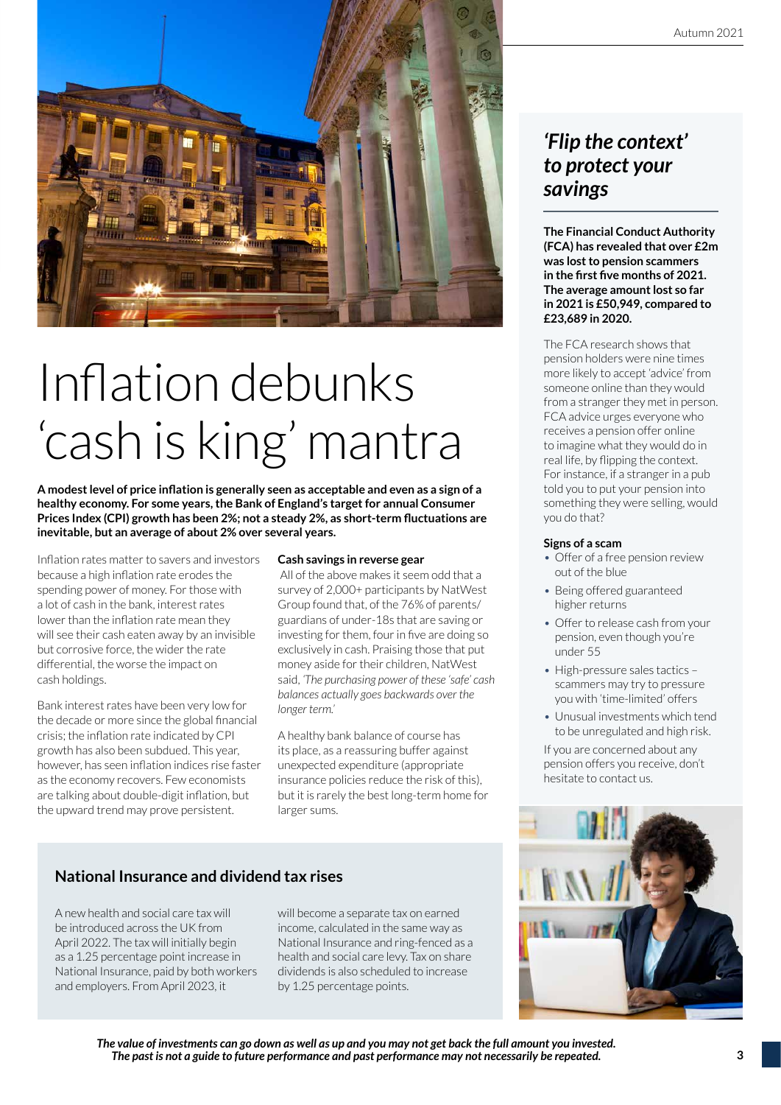

# Inflation debunks 'cash is king' mantra

**A modest level of price inflation is generally seen as acceptable and even as a sign of a healthy economy. For some years, the Bank of England's target for annual Consumer Prices Index (CPI) growth has been 2%; not a steady 2%, as short-term fluctuations are inevitable, but an average of about 2% over several years.**

Inflation rates matter to savers and investors because a high inflation rate erodes the spending power of money. For those with a lot of cash in the bank, interest rates lower than the inflation rate mean they will see their cash eaten away by an invisible but corrosive force, the wider the rate differential, the worse the impact on cash holdings.

Bank interest rates have been very low for the decade or more since the global financial crisis; the inflation rate indicated by CPI growth has also been subdued. This year, however, has seen inflation indices rise faster as the economy recovers. Few economists are talking about double-digit inflation, but the upward trend may prove persistent.

#### **Cash savings in reverse gear**

 All of the above makes it seem odd that a survey of 2,000+ participants by NatWest Group found that, of the 76% of parents/ guardians of under-18s that are saving or investing for them, four in five are doing so exclusively in cash. Praising those that put money aside for their children, NatWest said, *'The purchasing power of these 'safe' cash balances actually goes backwards over the longer term.'*

A healthy bank balance of course has its place, as a reassuring buffer against unexpected expenditure (appropriate insurance policies reduce the risk of this), but it is rarely the best long-term home for larger sums.

#### **National Insurance and dividend tax rises**

A new health and social care tax will be introduced across the UK from April 2022. The tax will initially begin as a 1.25 percentage point increase in National Insurance, paid by both workers and employers. From April 2023, it

will become a separate tax on earned income, calculated in the same way as National Insurance and ring-fenced as a health and social care levy. Tax on share dividends is also scheduled to increase by 1.25 percentage points.

## *'Flip the context' to protect your savings*

**The Financial Conduct Authority (FCA) has revealed that over £2m was lost to pension scammers in the first five months of 2021. The average amount lost so far in 2021 is £50,949, compared to £23,689 in 2020.**

The FCA research shows that pension holders were nine times more likely to accept 'advice' from someone online than they would from a stranger they met in person. FCA advice urges everyone who receives a pension offer online to imagine what they would do in real life, by flipping the context. For instance, if a stranger in a pub told you to put your pension into something they were selling, would you do that?

#### **Signs of a scam**

- Offer of a free pension review out of the blue
- Being offered guaranteed higher returns
- Offer to release cash from your pension, even though you're under 55
- High-pressure sales tactics scammers may try to pressure you with 'time-limited' offers
- Unusual investments which tend to be unregulated and high risk.

If you are concerned about any pension offers you receive, don't hesitate to contact us.



*The value of investments can go down as well as up and you may not get back the full amount you invested. The past is not a guide to future performance and past performance may not necessarily be repeated.*